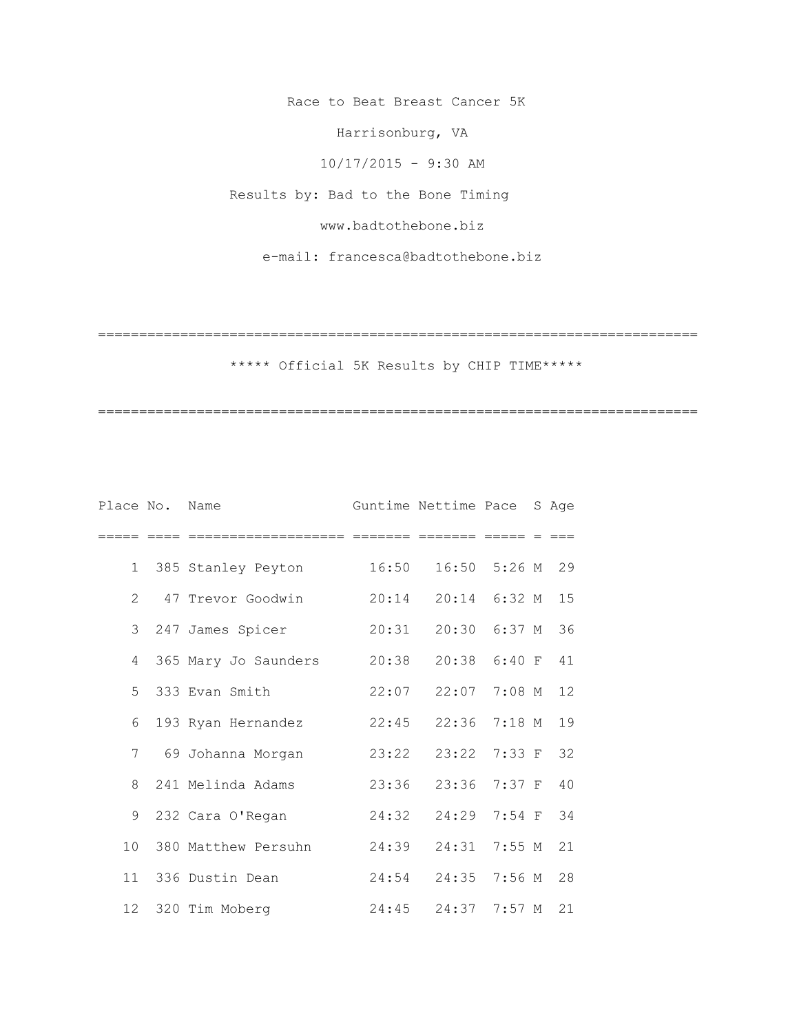Race to Beat Breast Cancer 5K

Harrisonburg, VA

10/17/2015 - 9:30 AM

Results by: Bad to the Bone Timing

www.badtothebone.biz

e-mail: francesca@badtothebone.biz

=========================================================================

\*\*\*\*\* Official 5K Results by CHIP TIME\*\*\*\*\*

| Place No. Name |                        |       | Guntime Nettime Pace S Age |                   |    |
|----------------|------------------------|-------|----------------------------|-------------------|----|
|                |                        |       |                            |                   |    |
|                | 1 385 Stanley Peyton   | 16:50 |                            | $16:50$ 5:26 M 29 |    |
| $\overline{2}$ | 47 Trevor Goodwin      | 20:14 |                            | 20:14 6:32 M 15   |    |
|                | 3 247 James Spicer     | 20:31 |                            | 20:30 6:37 M 36   |    |
|                | 4 365 Mary Jo Saunders | 20:38 |                            | 20:38 6:40 F 41   |    |
|                | 5 333 Evan Smith       | 22:07 |                            | 22:07 7:08 M 12   |    |
|                | 6 193 Ryan Hernandez   | 22:45 |                            | 22:36 7:18 M      | 19 |
| $7^{\circ}$    | 69 Johanna Morgan      | 23:22 |                            | 23:22 7:33 F 32   |    |
|                | 8 241 Melinda Adams    | 23:36 |                            | 23:36 7:37 F      | 40 |
| 9              | 232 Cara O'Regan       | 24:32 |                            | 24:29 7:54 F 34   |    |
|                | 10 380 Matthew Persuhn | 24:39 |                            | 24:31 7:55 M      | 21 |
|                | 11 336 Dustin Dean     | 24:54 |                            | 24:35 7:56 M      | 28 |
| 12             | 320 Tim Moberg         | 24:45 | 24:37                      | $7:57$ M          | 21 |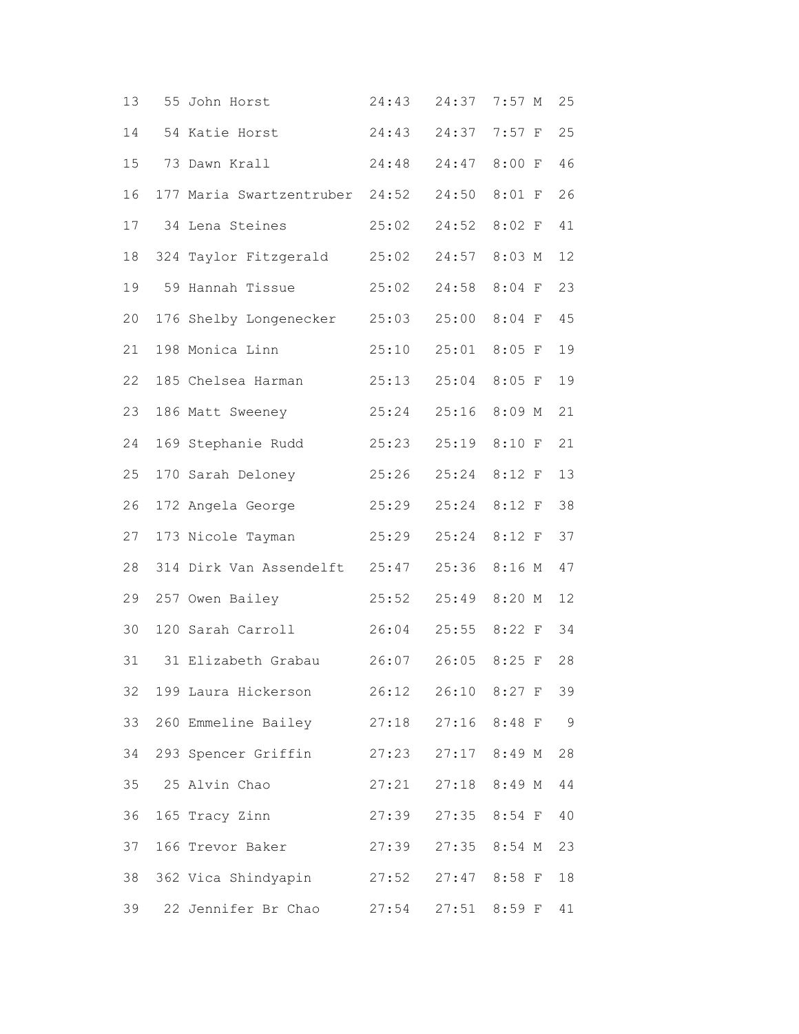| 13 | 55 John Horst                  | 24:43 | 24:37 | $7:57$ M     | 25  |
|----|--------------------------------|-------|-------|--------------|-----|
| 14 | 54 Katie Horst                 | 24:43 |       | 24:37 7:57 F | 25  |
| 15 | 73 Dawn Krall                  | 24:48 | 24:47 | 8:00 F       | 46  |
| 16 | 177 Maria Swartzentruber 24:52 |       | 24:50 | $8:01$ F     | 26  |
| 17 | 34 Lena Steines                | 25:02 | 24:52 | $8:02$ F     | 41  |
| 18 | 324 Taylor Fitzgerald 25:02    |       |       | 24:57 8:03 M | 12  |
| 19 | 59 Hannah Tissue               | 25:02 | 24:58 | $8:04$ F     | 23  |
| 20 | 176 Shelby Longenecker 25:03   |       | 25:00 | $8:04$ F     | 45  |
| 21 | 198 Monica Linn                | 25:10 | 25:01 | $8:05$ F     | 19  |
| 22 | 185 Chelsea Harman             | 25:13 | 25:04 | $8:05$ F     | 19  |
| 23 | 186 Matt Sweeney               | 25:24 | 25:16 | 8:09 M       | 21  |
| 24 | 169 Stephanie Rudd             | 25:23 | 25:19 | $8:10$ F     | 21  |
| 25 | 170 Sarah Deloney              | 25:26 | 25:24 | $8:12$ F     | 13  |
| 26 | 172 Angela George              | 25:29 | 25:24 | $8:12$ F     | 38  |
| 27 | 173 Nicole Tayman              | 25:29 | 25:24 | $8:12$ F     | 37  |
| 28 | 314 Dirk Van Assendelft        | 25:47 | 25:36 | 8:16 M       | 47  |
| 29 | 257 Owen Bailey                | 25:52 | 25:49 | 8:20 M       | 12  |
| 30 | 120 Sarah Carroll              | 26:04 | 25:55 | 8:22 F       | 34  |
| 31 | 31 Elizabeth Grabau            | 26:07 | 26:05 | $8:25$ F     | 28  |
| 32 | 199 Laura Hickerson            | 26:12 |       | 26:10 8:27 F | 39  |
| 33 | 260 Emmeline Bailey            | 27:18 |       | 27:16 8:48 F | - 9 |
| 34 | 293 Spencer Griffin            | 27:23 |       | 27:17 8:49 M | 28  |
| 35 | 25 Alvin Chao                  | 27:21 |       | 27:18 8:49 M | 44  |
| 36 | 165 Tracy Zinn                 | 27:39 |       | 27:35 8:54 F | 40  |
| 37 | 166 Trevor Baker               | 27:39 |       | 27:35 8:54 M | 23  |
| 38 | 362 Vica Shindyapin            | 27:52 |       | 27:47 8:58 F | 18  |
| 39 | 22 Jennifer Br Chao            | 27:54 |       | 27:51 8:59 F | 41  |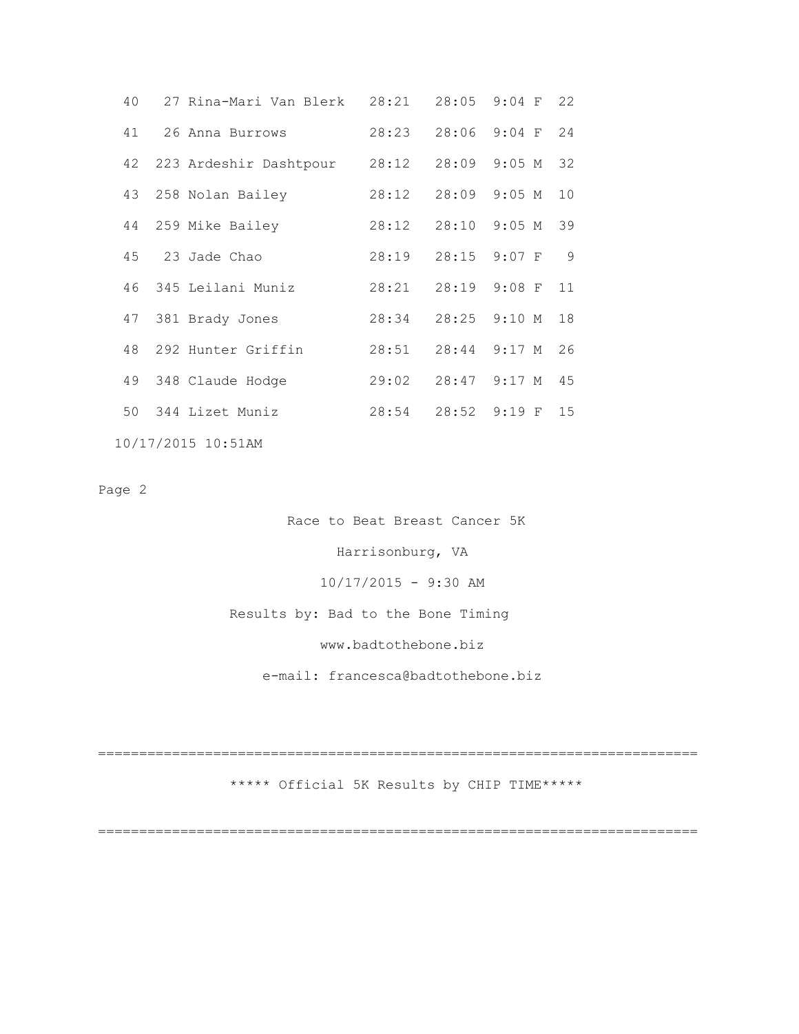| 40 | 27 Rina-Mari Van Blerk                          | 28:21                 | 28:05 9:04 F 22       |  |
|----|-------------------------------------------------|-----------------------|-----------------------|--|
|    | 41 26 Anna Burrows                              |                       | 28:23 28:06 9:04 F 24 |  |
|    | 42 223 Ardeshir Dashtpour 28:12 28:09 9:05 M 32 |                       |                       |  |
|    | 43 258 Nolan Bailey                             |                       | 28:12 28:09 9:05 M 10 |  |
|    | 44 259 Mike Bailey                              | 28:12 28:10 9:05 M 39 |                       |  |
|    | 45 23 Jade Chao                                 |                       | 28:19 28:15 9:07 F 9  |  |
|    | 46 345 Leilani Muniz                            |                       | 28:21 28:19 9:08 F 11 |  |
|    | 47 381 Brady Jones                              |                       | 28:34 28:25 9:10 M 18 |  |
|    | 48 292 Hunter Griffin                           | 28:51                 | 28:44 9:17 M 26       |  |
|    | 49 348 Claude Hodge                             |                       | 29:02 28:47 9:17 M 45 |  |
|    | 50 344 Lizet Muniz                              |                       | 28:54 28:52 9:19 F 15 |  |
|    |                                                 |                       |                       |  |

10/17/2015 10:51AM

Page 2

 Race to Beat Breast Cancer 5K Harrisonburg, VA 10/17/2015 - 9:30 AM Results by: Bad to the Bone Timing www.badtothebone.biz e-mail: francesca@badtothebone.biz

========================================================================= \*\*\*\*\* Official 5K Results by CHIP TIME\*\*\*\*\*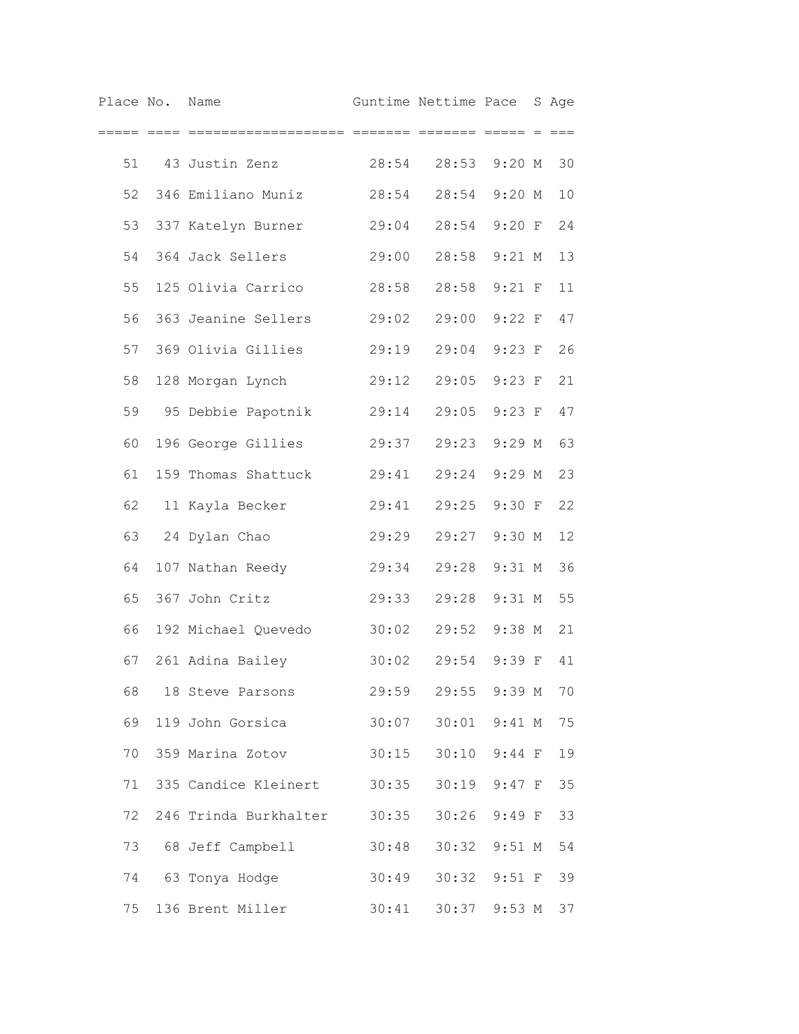| Place No. Name |                             |       | Guntime Nettime Pace |                 | S Age |
|----------------|-----------------------------|-------|----------------------|-----------------|-------|
|                |                             |       | ======= ===== =      |                 |       |
| 51             | 43 Justin Zenz              | 28:54 |                      | 28:53 9:20 M    | 30    |
| 52             | 346 Emiliano Muniz          | 28:54 |                      | 28:54 9:20 M    | 10    |
| 53             | 337 Katelyn Burner          | 29:04 |                      | 28:54 9:20 F    | 24    |
| 54             | 364 Jack Sellers            | 29:00 | 28:58                | $9:21$ M        | 13    |
| 55             | 125 Olivia Carrico          | 28:58 | 28:58                | $9:21$ F        | 11    |
| 56             | 363 Jeanine Sellers         | 29:02 | 29:00                | $9:22$ F        | 47    |
| 57             | 369 Olivia Gillies          | 29:19 | 29:04                | $9:23$ F        | 26    |
| 58             | 128 Morgan Lynch            | 29:12 | 29:05                | $9:23$ F        | 21    |
| 59             | 95 Debbie Papotnik          | 29:14 | 29:05                | $9:23$ F        | 47    |
| 60             | 196 George Gillies          | 29:37 | 29:23                | $9:29$ M        | 63    |
| 61             | 159 Thomas Shattuck         | 29:41 | 29:24                | $9:29$ M        | 23    |
| 62             | 11 Kayla Becker             | 29:41 | 29:25                | 9:30 F          | 22    |
| 63             | 24 Dylan Chao               | 29:29 | 29:27                | $9:30$ M        | 12    |
| 64             | 107 Nathan Reedy            | 29:34 | 29:28                | $9:31$ M        | 36    |
| 65             | 367 John Critz              | 29:33 | 29:28                | $9:31$ M        | 55    |
| 66             | 192 Michael Quevedo         | 30:02 | 29:52                | $9:38$ M        | 21    |
| 67             | 261 Adina Bailey            | 30:02 |                      | 29:54 9:39 F    | 41    |
| 68             | 18 Steve Parsons            |       | 29:59 29:55 9:39 M   |                 | 70    |
| 69             | 119 John Gorsica            | 30:07 |                      | 30:01 9:41 M    | 75    |
| 70             | 359 Marina Zotov            | 30:15 |                      | 30:10 9:44 F    | 19    |
| 71             | 335 Candice Kleinert 30:35  |       |                      | 30:19 9:47 F    | 35    |
| 72             | 246 Trinda Burkhalter 30:35 |       |                      | 30:26 9:49 F    | 33    |
| 73             | 68 Jeff Campbell            | 30:48 |                      | 30:32 9:51 M    | 54    |
| 74             | 63 Tonya Hodge              | 30:49 |                      | 30:32 9:51 F    | 39    |
|                | 75 136 Brent Miller         | 30:41 |                      | 30:37 9:53 M 37 |       |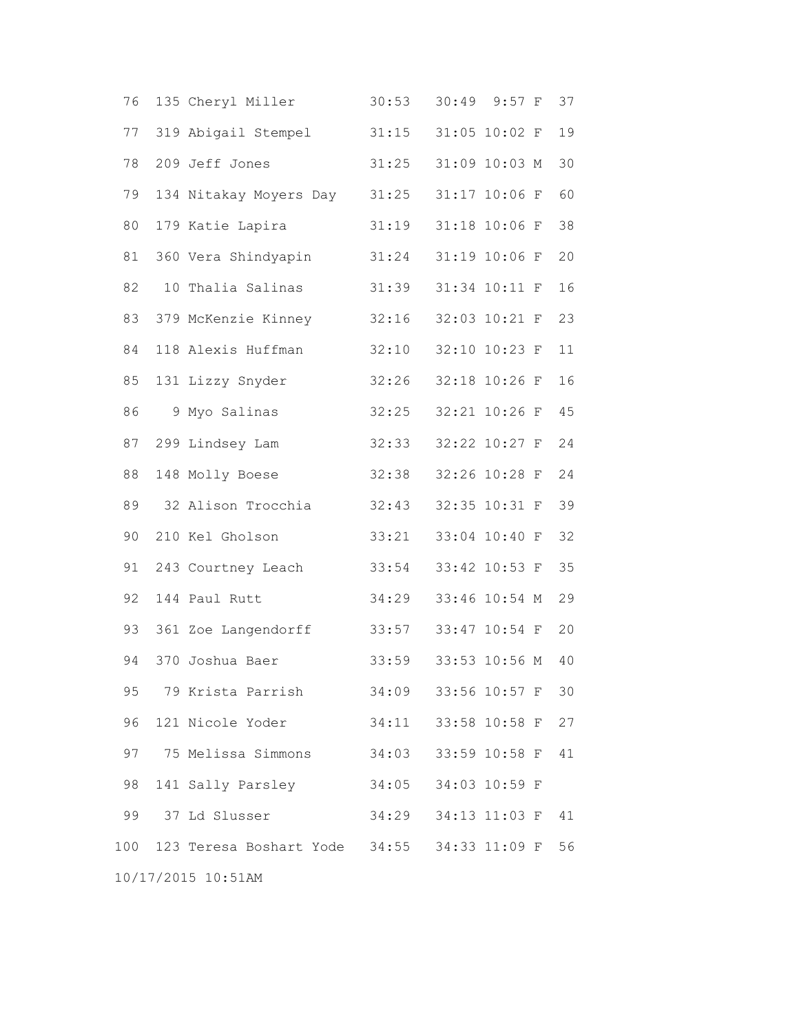| 76 | 135 Cheryl Miller                               | 30:53               | 30:49 | $9:57$ F      | 37 |
|----|-------------------------------------------------|---------------------|-------|---------------|----|
| 77 | 319 Abigail Stempel                             | 31:15               |       | 31:05 10:02 F | 19 |
| 78 | 209 Jeff Jones                                  | 31:25               |       | 31:09 10:03 M | 30 |
| 79 | 134 Nitakay Moyers Day 31:25                    |                     |       | 31:17 10:06 F | 60 |
| 80 | 179 Katie Lapira                                | 31:19               |       | 31:18 10:06 F | 38 |
| 81 | 360 Vera Shindyapin                             | 31:24               |       | 31:19 10:06 F | 20 |
| 82 | 10 Thalia Salinas                               | 31:39               |       | 31:34 10:11 F | 16 |
| 83 | 379 McKenzie Kinney                             | 32:16               |       | 32:03 10:21 F | 23 |
| 84 | 118 Alexis Huffman                              | 32:10               |       | 32:10 10:23 F | 11 |
| 85 | 131 Lizzy Snyder                                | 32:26               |       | 32:18 10:26 F | 16 |
| 86 | 9 Myo Salinas                                   | 32:25               |       | 32:21 10:26 F | 45 |
| 87 | 299 Lindsey Lam                                 | 32:33               |       | 32:22 10:27 F | 24 |
| 88 | 148 Molly Boese                                 | 32:38               |       | 32:26 10:28 F | 24 |
| 89 | 32 Alison Trocchia                              | 32:43               |       | 32:35 10:31 F | 39 |
| 90 | 210 Kel Gholson                                 | 33:21               |       | 33:04 10:40 F | 32 |
| 91 | 243 Courtney Leach                              | 33:54               |       | 33:42 10:53 F | 35 |
| 92 | 144 Paul Rutt                                   | 34:29               |       | 33:46 10:54 M | 29 |
| 93 | 361 Zoe Langendorff                             | 33:57               |       | 33:47 10:54 F | 20 |
| 94 | 370 Joshua Baer                                 | 33:59               |       | 33:53 10:56 M | 40 |
|    | 95 79 Krista Parrish 34:09 33:56 10:57 F        |                     |       |               | 30 |
| 96 | 121 Nicole Yoder                                | 34:11               |       | 33:58 10:58 F | 27 |
| 97 | 75 Melissa Simmons                              | 34:03               |       | 33:59 10:58 F | 41 |
| 98 | 141 Sally Parsley                               | 34:05 34:03 10:59 F |       |               |    |
| 99 | 37 Ld Slusser                                   | 34:29 34:13 11:03 F |       |               | 41 |
|    | 100 123 Teresa Boshart Yode 34:55 34:33 11:09 F |                     |       |               | 56 |
|    | 10/17/2015 10:51AM                              |                     |       |               |    |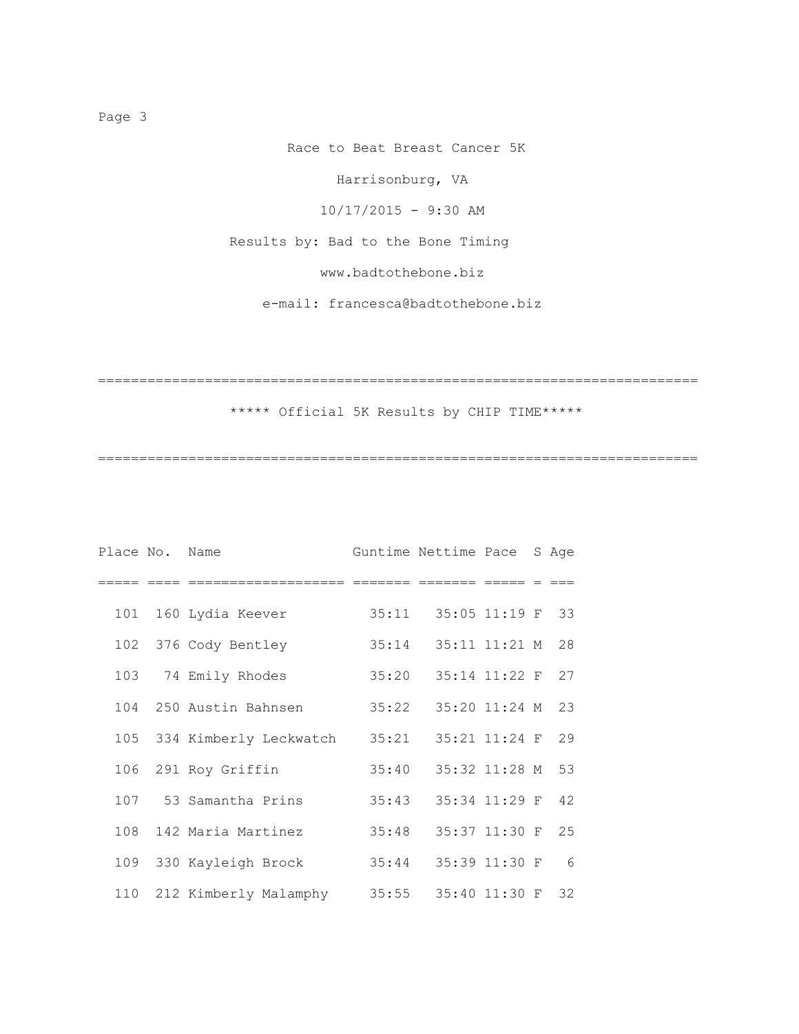Race to Beat Breast Cancer 5K

Harrisonburg, VA

10/17/2015 - 9:30 AM

Results by: Bad to the Bone Timing

www.badtothebone.biz

e-mail: francesca@badtothebone.biz

=========================================================================

\*\*\*\*\* Official 5K Results by CHIP TIME\*\*\*\*\*

=========================================================================

| Place No. | Name                       |       | Guntime Nettime Pace |                    | S Age           |
|-----------|----------------------------|-------|----------------------|--------------------|-----------------|
|           |                            |       |                      |                    |                 |
|           | 101 160 Lydia Keever       | 35:11 |                      | $35:05$ 11:19 F 33 |                 |
|           | 102 376 Cody Bentley       | 35:14 |                      | 35:11 11:21 M      | 28              |
|           | 103 74 Emily Rhodes        | 35:20 |                      | 35:14 11:22 F      | 27              |
|           | 104 250 Austin Bahnsen     | 35:22 |                      | 35:20 11:24 M 23   |                 |
|           | 105 334 Kimberly Leckwatch | 35:21 |                      | 35:21 11:24 F 29   |                 |
|           | 106 291 Roy Griffin        | 35:40 |                      | 35:32 11:28 M 53   |                 |
|           | 107 53 Samantha Prins      | 35:43 |                      | 35:34 11:29 F      | 42              |
|           | 108 142 Maria Martinez     | 35:48 |                      | 35:37 11:30 F 25   |                 |
|           | 109 330 Kayleigh Brock     | 35:44 |                      | 35:39 11:30 F      | $6\overline{6}$ |
|           | 110 212 Kimberly Malamphy  | 35:55 |                      | 35:40 11:30 F 32   |                 |

Page 3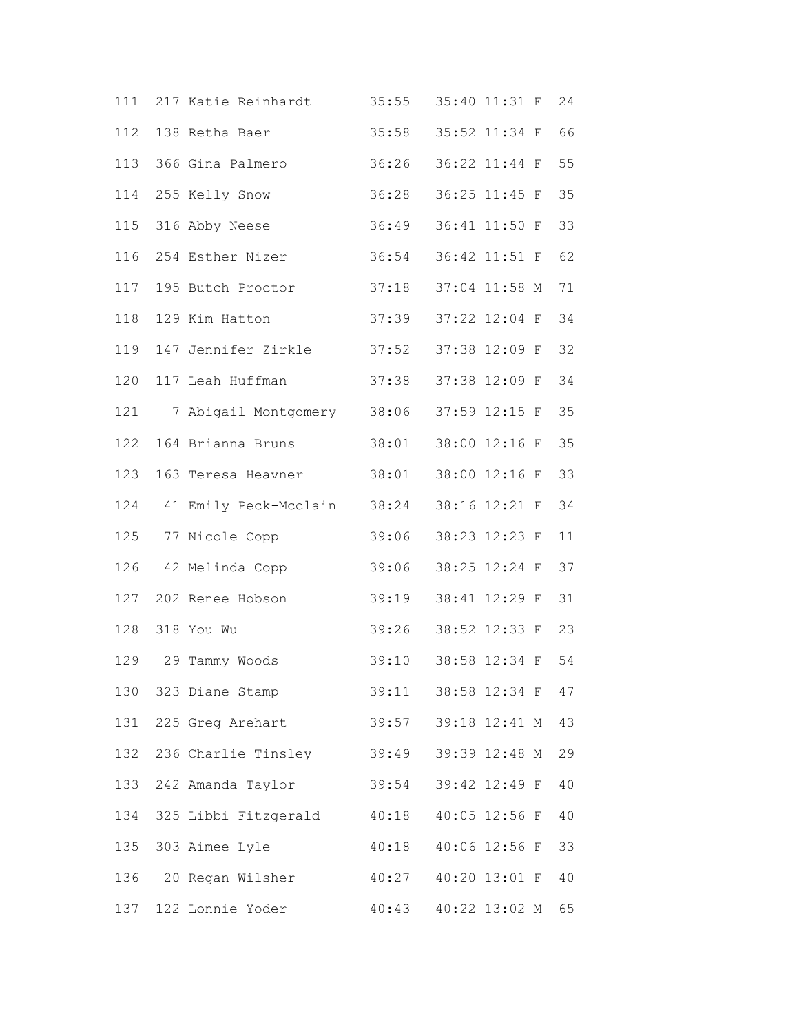|     | 111 217 Katie Reinhardt     | 35:55 | 35:40 11:31 F    | 24 |
|-----|-----------------------------|-------|------------------|----|
|     | 112 138 Retha Baer          | 35:58 | 35:52 11:34 F    | 66 |
|     | 113 366 Gina Palmero        | 36:26 | 36:22 11:44 F    | 55 |
|     | 114 255 Kelly Snow          | 36:28 | 36:25 11:45 F    | 35 |
|     | 115 316 Abby Neese          | 36:49 | 36:41 11:50 F    | 33 |
| 116 | 254 Esther Nizer            | 36:54 | 36:42 11:51 F 62 |    |
| 117 | 195 Butch Proctor           | 37:18 | 37:04 11:58 M    | 71 |
| 118 | 129 Kim Hatton              | 37:39 | 37:22 12:04 F    | 34 |
| 119 | 147 Jennifer Zirkle         | 37:52 | 37:38 12:09 F    | 32 |
| 120 | 117 Leah Huffman            | 37:38 | 37:38 12:09 F    | 34 |
| 121 | 7 Abigail Montgomery 38:06  |       | 37:59 12:15 F    | 35 |
| 122 | 164 Brianna Bruns           | 38:01 | 38:00 12:16 F    | 35 |
| 123 | 163 Teresa Heavner          | 38:01 | 38:00 12:16 F    | 33 |
| 124 | 41 Emily Peck-Mcclain 38:24 |       | 38:16 12:21 F    | 34 |
| 125 | 77 Nicole Copp              | 39:06 | 38:23 12:23 F    | 11 |
|     | 126 42 Melinda Copp         | 39:06 | 38:25 12:24 F    | 37 |
| 127 | 202 Renee Hobson            | 39:19 | 38:41 12:29 F    | 31 |
| 128 | 318 You Wu                  | 39:26 | 38:52 12:33 F    | 23 |
|     | 129 29 Tammy Woods          | 39:10 | 38:58 12:34 F    | 54 |
|     | 130 323 Diane Stamp         | 39:11 | 38:58 12:34 F    | 47 |
|     | 131 225 Greg Arehart        | 39:57 | 39:18 12:41 M    | 43 |
|     | 132 236 Charlie Tinsley     | 39:49 | 39:39 12:48 M    | 29 |
|     | 133 242 Amanda Taylor       | 39:54 | 39:42 12:49 F    | 40 |
| 134 | 325 Libbi Fitzgerald        | 40:18 | 40:05 12:56 F    | 40 |
| 135 | 303 Aimee Lyle              | 40:18 | 40:06 12:56 F    | 33 |
|     | 136 20 Regan Wilsher        | 40:27 | 40:20 13:01 F    | 40 |
|     | 137 122 Lonnie Yoder        | 40:43 | 40:22 13:02 M    | 65 |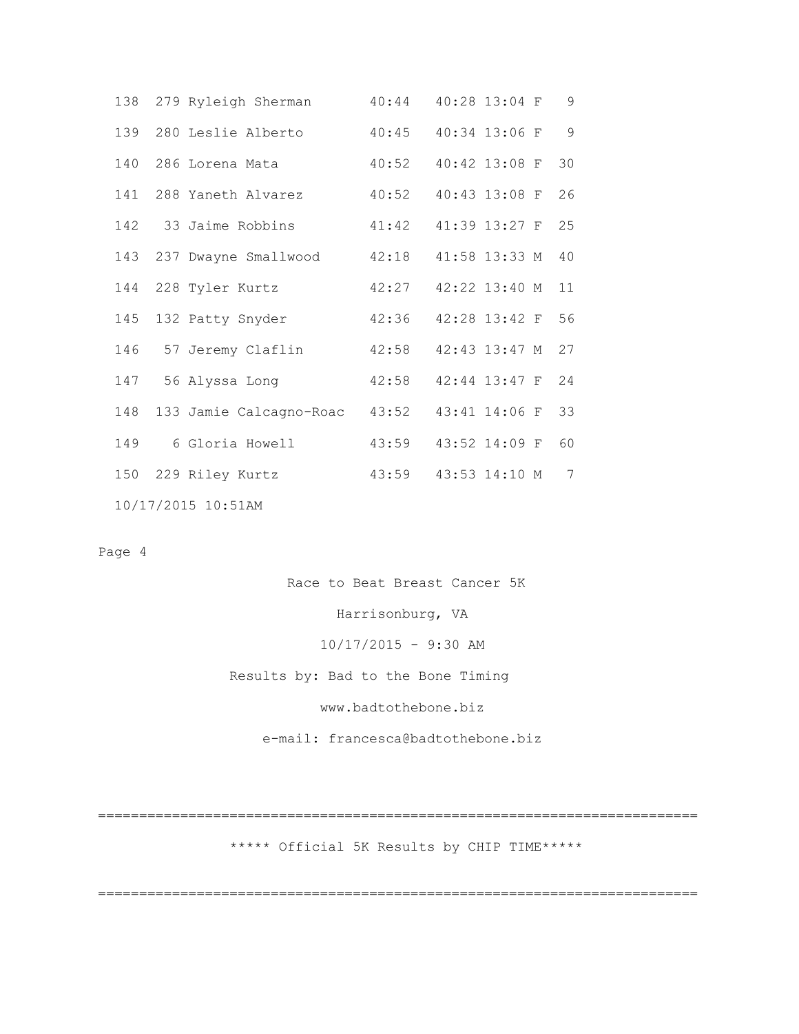|  | 138 279 Ryleigh Sherman                    | 40:44                     | 40:28 13:04 F    | 9  |
|--|--------------------------------------------|---------------------------|------------------|----|
|  | 139 280 Leslie Alberto 40:45 40:34 13:06 F |                           |                  | 9  |
|  | 140 286 Lorena Mata                        | 40:52                     | 40:42 13:08 F 30 |    |
|  | 141 288 Yaneth Alvarez                     | 40:52                     | 40:43 13:08 F    | 26 |
|  | 142 33 Jaime Robbins                       | 41:42 41:39 13:27 F 25    |                  |    |
|  | 143 237 Dwayne Smallwood                   | 42:18                     | 41:58 13:33 M    | 40 |
|  | 144 228 Tyler Kurtz                        | 42:27                     | 42:22 13:40 M 11 |    |
|  | 145 132 Patty Snyder                       | 42:36                     | 42:28 13:42 F 56 |    |
|  | 146 57 Jeremy Claflin                      | 42:58                     | 42:43 13:47 M    | 27 |
|  | 147 56 Alyssa Long                         | 42:58  42:44  13:47 F  24 |                  |    |
|  | 148 133 Jamie Calcagno-Roac 43:52          |                           | 43:41 14:06 F 33 |    |
|  | 149 6 Gloria Howell                        | 43:59                     | 43:52 14:09 F    | 60 |
|  | 150 229 Riley Kurtz                        | 43:59                     | 43:53 14:10 M    | 7  |
|  | 10/17/2015 10:51AM                         |                           |                  |    |

## Page 4

Race to Beat Breast Cancer 5K

Harrisonburg, VA

10/17/2015 - 9:30 AM

Results by: Bad to the Bone Timing

www.badtothebone.biz

e-mail: francesca@badtothebone.biz

\*\*\*\*\* Official 5K Results by CHIP TIME\*\*\*\*\*

=========================================================================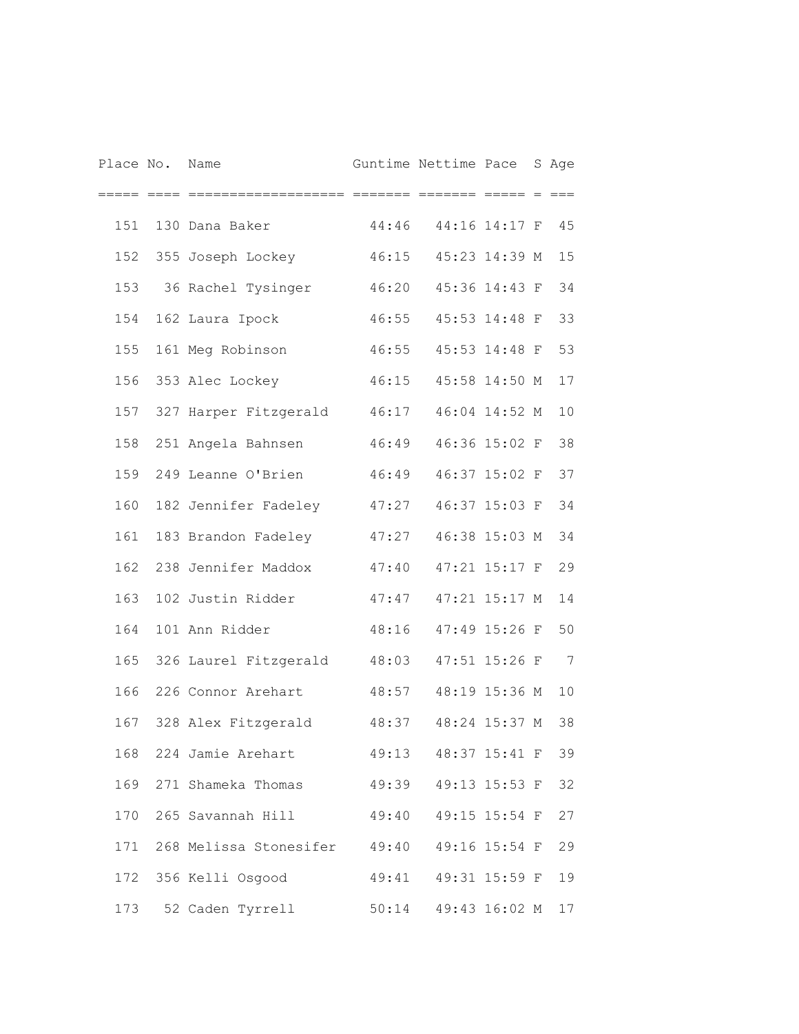| Place No. | Name                             |                       | Guntime Nettime Pace   |               | S Age |
|-----------|----------------------------------|-----------------------|------------------------|---------------|-------|
|           | =======                          |                       |                        |               |       |
| 151       | 130 Dana Baker                   | 44:46                 |                        | 44:16 14:17 F | 45    |
| 152       | 355 Joseph Lockey                | 46:15                 |                        | 45:23 14:39 M | 15    |
| 153       | 36 Rachel Tysinger               | 46:20                 |                        | 45:36 14:43 F | 34    |
| 154       | 162 Laura Ipock                  | 46:55                 |                        | 45:53 14:48 F | 33    |
| 155       | 161 Meg Robinson                 | 46:55                 |                        | 45:53 14:48 F | 53    |
| 156       | 353 Alec Lockey                  | 46:15                 |                        | 45:58 14:50 M | 17    |
| 157       | 327 Harper Fitzgerald            | 46:17                 |                        | 46:04 14:52 M | 10    |
| 158       | 251 Angela Bahnsen               | 46:49                 |                        | 46:36 15:02 F | 38    |
| 159       | 249 Leanne O'Brien               | 46:49                 |                        | 46:37 15:02 F | 37    |
| 160       | 182 Jennifer Fadeley             | 47:27                 |                        | 46:37 15:03 F | 34    |
| 161       | 183 Brandon Fadeley              | 47:27                 |                        | 46:38 15:03 M | 34    |
| 162       | 238 Jennifer Maddox              | 47:40                 |                        | 47:21 15:17 F | 29    |
| 163       | 102 Justin Ridder                | 47:47                 |                        | 47:21 15:17 M | 14    |
| 164       | 101 Ann Ridder                   | 48:16                 |                        | 47:49 15:26 F | 50    |
| 165       | 326 Laurel Fitzgerald            | 48:03                 |                        | 47:51 15:26 F | 7     |
| 166       | 226 Connor Arehart               | 48:57                 |                        | 48:19 15:36 M | 10    |
| 167       | 328 Alex Fitzgerald              | 48:37                 |                        | 48:24 15:37 M | 38    |
|           | 168 224 Jamie Arehart            |                       | 49:13 48:37 15:41 F 39 |               |       |
|           | 169 271 Shameka Thomas           | 49:39                 | 49:13 15:53 F          |               | 32    |
|           | 170 265 Savannah Hill            | 49:40                 |                        | 49:15 15:54 F | 27    |
|           | 171 268 Melissa Stonesifer 49:40 |                       |                        | 49:16 15:54 F | 29    |
|           | 172 356 Kelli Osgood             | 49:41  49:31  15:59 F |                        |               | 19    |
| 173       | 52 Caden Tyrrell                 |                       | 50:14 49:43 16:02 M    |               | 17    |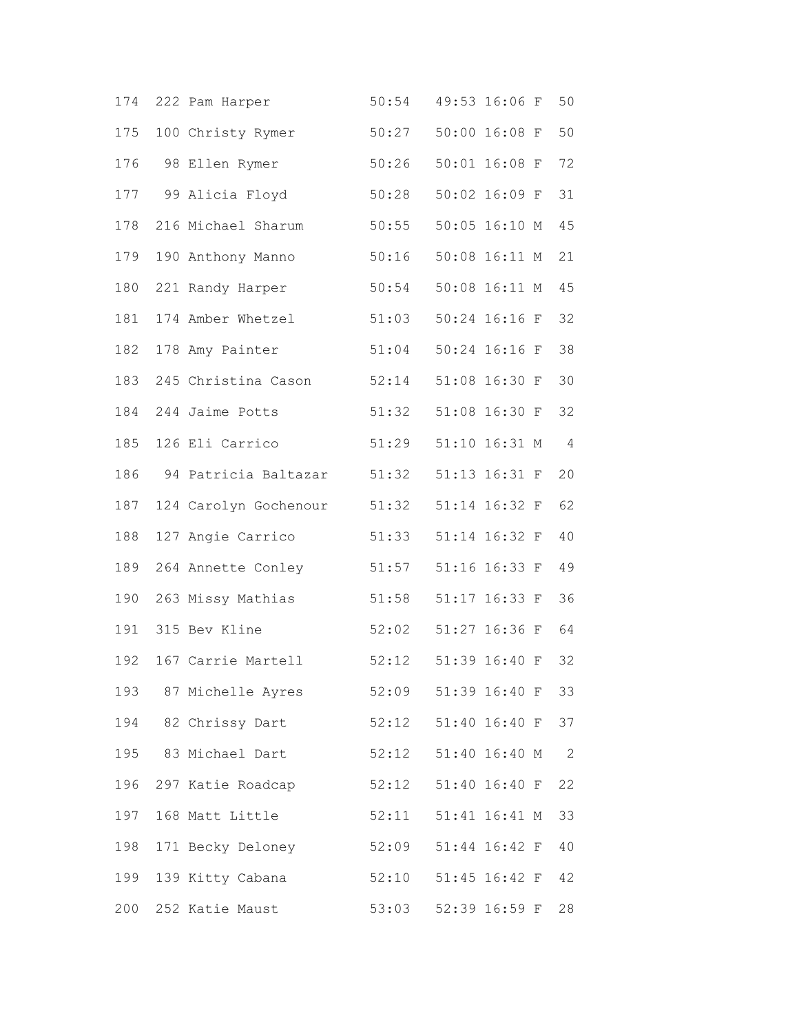| 174 | 222 Pam Harper        | 50:54 | 49:53 16:06 F | 50                         |
|-----|-----------------------|-------|---------------|----------------------------|
| 175 | 100 Christy Rymer     | 50:27 | 50:00 16:08 F | 50                         |
| 176 | 98 Ellen Rymer        | 50:26 | 50:01 16:08 F | 72                         |
| 177 | 99 Alicia Floyd       | 50:28 | 50:02 16:09 F | 31                         |
| 178 | 216 Michael Sharum    | 50:55 | 50:05 16:10 M | 45                         |
| 179 | 190 Anthony Manno     | 50:16 | 50:08 16:11 M | 21                         |
| 180 | 221 Randy Harper      | 50:54 | 50:08 16:11 M | 45                         |
| 181 | 174 Amber Whetzel     | 51:03 | 50:24 16:16 F | 32                         |
| 182 | 178 Amy Painter       | 51:04 | 50:24 16:16 F | 38                         |
| 183 | 245 Christina Cason   | 52:14 | 51:08 16:30 F | 30                         |
| 184 | 244 Jaime Potts       | 51:32 | 51:08 16:30 F | 32                         |
| 185 | 126 Eli Carrico       | 51:29 | 51:10 16:31 M | $\overline{4}$             |
| 186 | 94 Patricia Baltazar  | 51:32 | 51:13 16:31 F | 20                         |
| 187 | 124 Carolyn Gochenour | 51:32 | 51:14 16:32 F | 62                         |
| 188 | 127 Angie Carrico     | 51:33 | 51:14 16:32 F | 40                         |
| 189 | 264 Annette Conley    | 51:57 | 51:16 16:33 F | 49                         |
| 190 | 263 Missy Mathias     | 51:58 | 51:17 16:33 F | 36                         |
| 191 | 315 Bev Kline         | 52:02 | 51:27 16:36 F | 64                         |
| 192 | 167 Carrie Martell    | 52:12 | 51:39 16:40 F | 32                         |
| 193 | 87 Michelle Ayres     | 52:09 | 51:39 16:40 F | 33                         |
|     | 194 82 Chrissy Dart   | 52:12 | 51:40 16:40 F | 37                         |
|     | 195 83 Michael Dart   | 52:12 | 51:40 16:40 M | $\overline{\phantom{0}}^2$ |
| 196 | 297 Katie Roadcap     | 52:12 | 51:40 16:40 F | 22                         |
| 197 | 168 Matt Little       | 52:11 | 51:41 16:41 M | 33                         |
| 198 | 171 Becky Deloney     | 52:09 | 51:44 16:42 F | 40                         |
| 199 | 139 Kitty Cabana      | 52:10 | 51:45 16:42 F | 42                         |
| 200 | 252 Katie Maust       | 53:03 | 52:39 16:59 F | 28                         |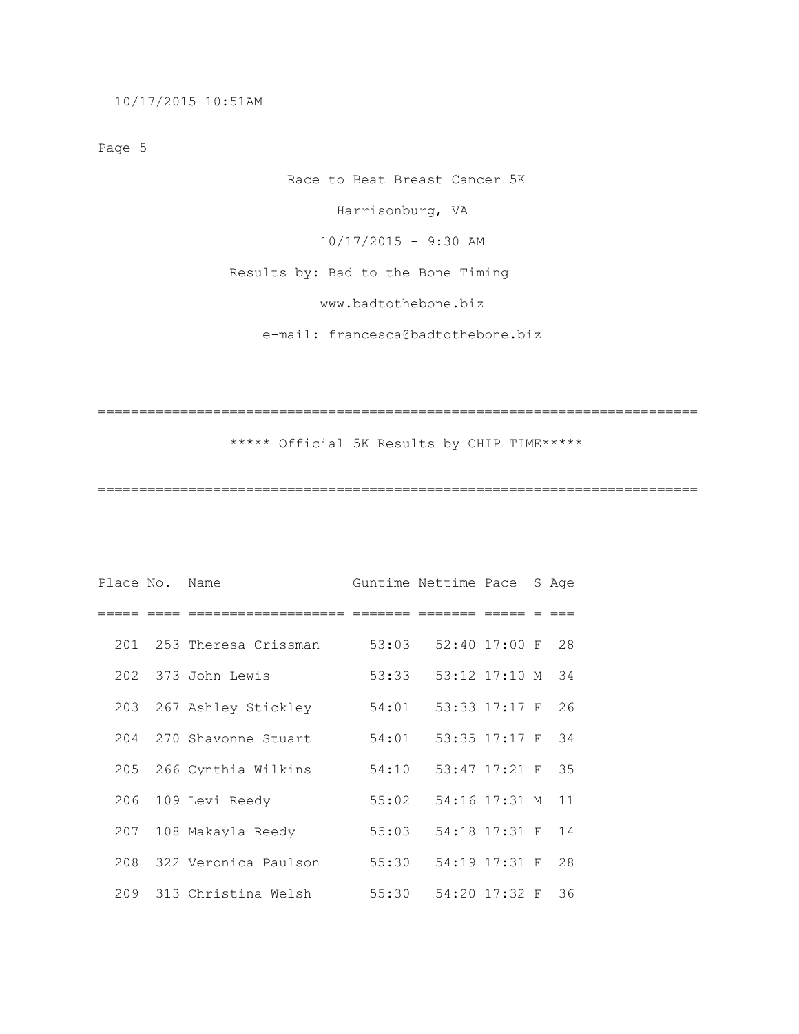10/17/2015 10:51AM

Page 5

 Race to Beat Breast Cancer 5K Harrisonburg, VA 10/17/2015 - 9:30 AM Results by: Bad to the Bone Timing www.badtothebone.biz

e-mail: francesca@badtothebone.biz

=========================================================================

\*\*\*\*\* Official 5K Results by CHIP TIME\*\*\*\*\*

| Place No. Name |                          |       | Guntime Nettime Pace |                  | S Age |
|----------------|--------------------------|-------|----------------------|------------------|-------|
|                |                          |       |                      |                  |       |
|                | 201 253 Theresa Crissman | 53:03 |                      | 52:40 17:00 F 28 |       |
|                | 202 373 John Lewis       | 53:33 |                      | 53:12 17:10 M 34 |       |
|                | 203 267 Ashley Stickley  | 54:01 |                      | 53:33 17:17 F 26 |       |
|                | 204 270 Shavonne Stuart  | 54:01 |                      | 53:35 17:17 F 34 |       |
|                | 205 266 Cynthia Wilkins  | 54:10 |                      | 53:47 17:21 F 35 |       |
|                | 206 109 Levi Reedy       | 55:02 |                      | 54:16 17:31 M 11 |       |
| 207            | 108 Makayla Reedy        | 55:03 |                      | 54:18 17:31 F    | 14    |
|                | 208 322 Veronica Paulson | 55:30 |                      | 54:19 17:31 F 28 |       |
|                | 209 313 Christina Welsh  | 55:30 |                      | 54:20 17:32 F    | 36    |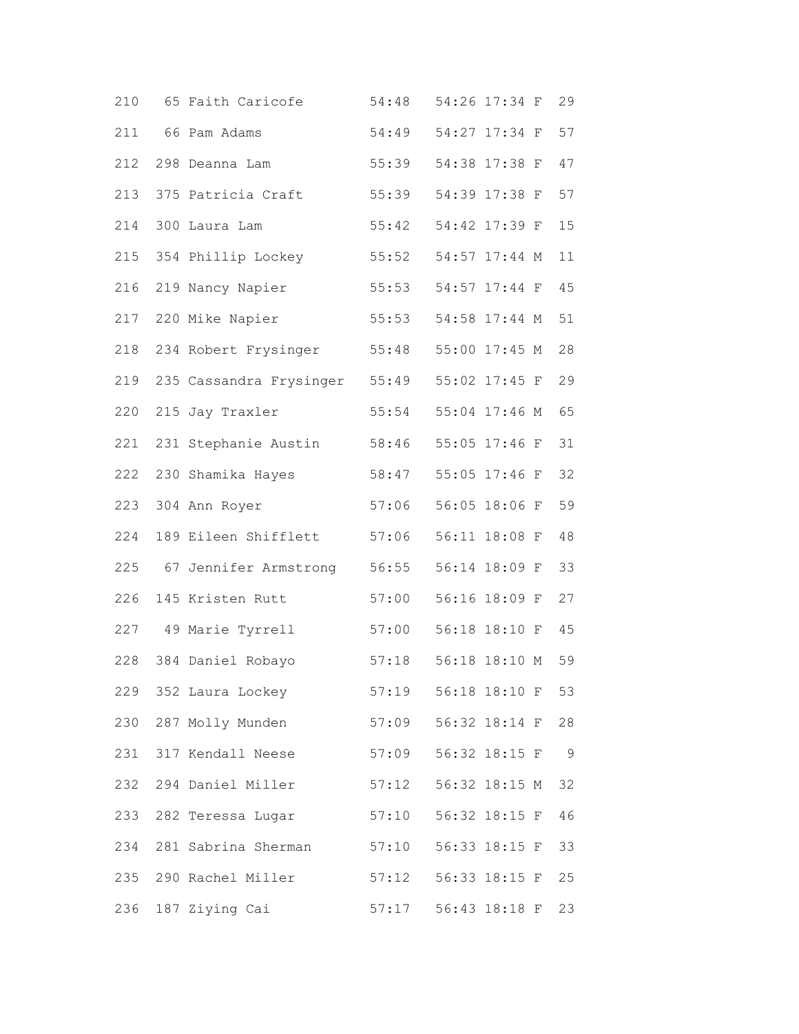| 210 | 65 Faith Caricofe             | 54:48                        | 54:26 17:34 F | 29             |
|-----|-------------------------------|------------------------------|---------------|----------------|
| 211 | 66 Pam Adams                  | 54:49                        | 54:27 17:34 F | 57             |
| 212 | 298 Deanna Lam                | 55:39                        | 54:38 17:38 F | 47             |
| 213 | 375 Patricia Craft            | 55:39                        | 54:39 17:38 F | 57             |
| 214 | 300 Laura Lam                 | 55:42                        | 54:42 17:39 F | 15             |
| 215 | 354 Phillip Lockey            | 55:52                        | 54:57 17:44 M | 11             |
| 216 | 219 Nancy Napier              | 55:53                        | 54:57 17:44 F | 45             |
| 217 | 220 Mike Napier               | 55:53                        | 54:58 17:44 M | 51             |
| 218 | 234 Robert Frysinger          | 55:48                        | 55:00 17:45 M | 28             |
| 219 | 235 Cassandra Frysinger 55:49 |                              | 55:02 17:45 F | 29             |
| 220 | 215 Jay Traxler               | 55:54                        | 55:04 17:46 M | 65             |
| 221 | 231 Stephanie Austin          | 58:46                        | 55:05 17:46 F | 31             |
| 222 | 230 Shamika Hayes             | 58:47                        | 55:05 17:46 F | 32             |
| 223 | 304 Ann Royer                 | 57:06                        | 56:05 18:06 F | 59             |
| 224 | 189 Eileen Shifflett          | 57:06                        | 56:11 18:08 F | 48             |
| 225 | 67 Jennifer Armstrong         | 56:55                        | 56:14 18:09 F | 33             |
| 226 | 145 Kristen Rutt              | 57:00                        | 56:16 18:09 F | 27             |
| 227 | 49 Marie Tyrrell              | 57:00                        | 56:18 18:10 F | 45             |
| 228 | 384 Daniel Robayo             | 57:18                        | 56:18 18:10 M | 59             |
|     | 229 352 Laura Lockey          | 57:19                        | 56:18 18:10 F | 53             |
|     | 230 287 Molly Munden          | 57:09                        | 56:32 18:14 F | 28             |
|     | 231 317 Kendall Neese         | 57:09                        | 56:32 18:15 F | $\overline{9}$ |
|     | 232 294 Daniel Miller         | 57:12                        | 56:32 18:15 M | 32             |
| 233 | 282 Teressa Lugar             | 57:10                        | 56:32 18:15 F | 46             |
| 234 | 281 Sabrina Sherman           | 57:10                        | 56:33 18:15 F | 33             |
|     | 235 290 Rachel Miller         | 57:12                        | 56:33 18:15 F | 25             |
|     | 236 187 Ziying Cai            | 57:17    56:43    18:18    F |               | 23             |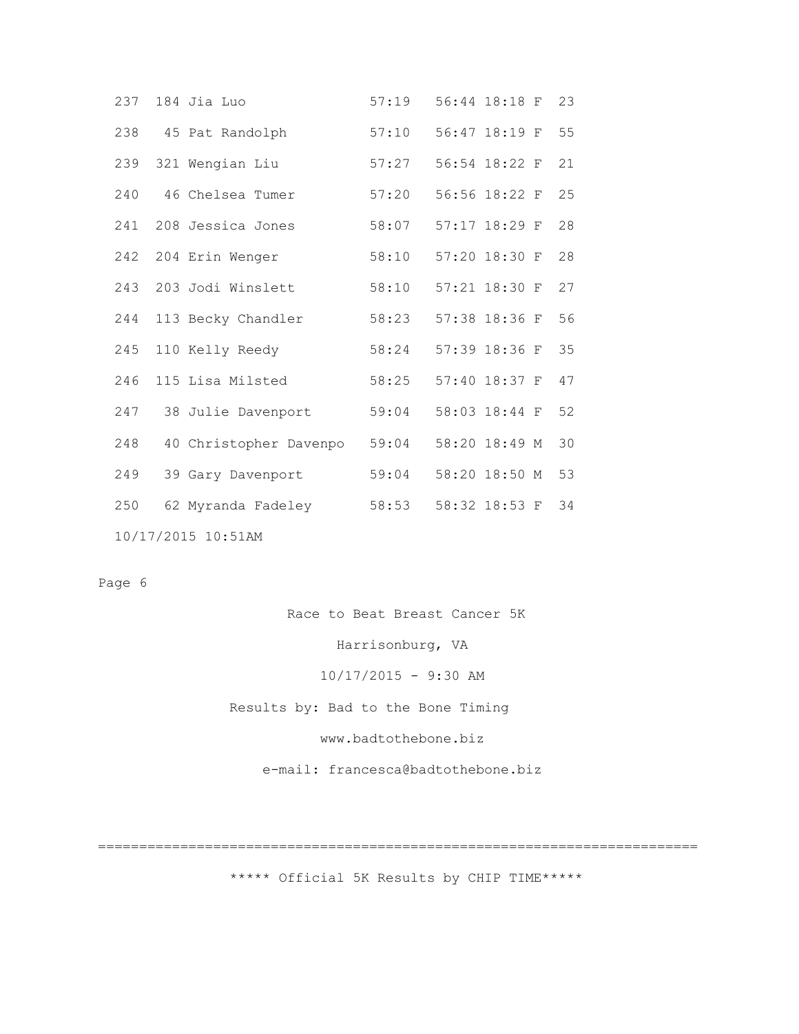|     | 237 184 Jia Luo        | 57:19 | 56:44 18:18 F    | 23 |
|-----|------------------------|-------|------------------|----|
|     | 238 45 Pat Randolph    | 57:10 | 56:47 18:19 F 55 |    |
|     | 239 321 Wengian Liu    | 57:27 | 56:54 18:22 F    | 21 |
|     | 240 46 Chelsea Tumer   | 57:20 | 56:56 18:22 F 25 |    |
|     | 241 208 Jessica Jones  | 58:07 | 57:17 18:29 F    | 28 |
|     | 242 204 Erin Wenger    | 58:10 | 57:20 18:30 F 28 |    |
|     | 243 203 Jodi Winslett  | 58:10 | 57:21 18:30 F    | 27 |
|     | 244 113 Becky Chandler | 58:23 | 57:38 18:36 F    | 56 |
|     | 245 110 Kelly Reedy    | 58:24 | 57:39 18:36 F 35 |    |
| 246 | 115 Lisa Milsted       | 58:25 | 57:40 18:37 F    | 47 |
|     | 247 38 Julie Davenport | 59:04 | 58:03 18:44 F 52 |    |
| 248 | 40 Christopher Davenpo | 59:04 | 58:20 18:49 M    | 30 |
| 249 | 39 Gary Davenport      | 59:04 | 58:20 18:50 M    | 53 |
| 250 | 62 Myranda Fadeley     | 58:53 | 58:32 18:53 F    | 34 |
|     | 10/17/2015 10:51AM     |       |                  |    |

Page 6

Race to Beat Breast Cancer 5K

Harrisonburg, VA

10/17/2015 - 9:30 AM

Results by: Bad to the Bone Timing

www.badtothebone.biz

e-mail: francesca@badtothebone.biz

=========================================================================

\*\*\*\*\* Official 5K Results by CHIP TIME\*\*\*\*\*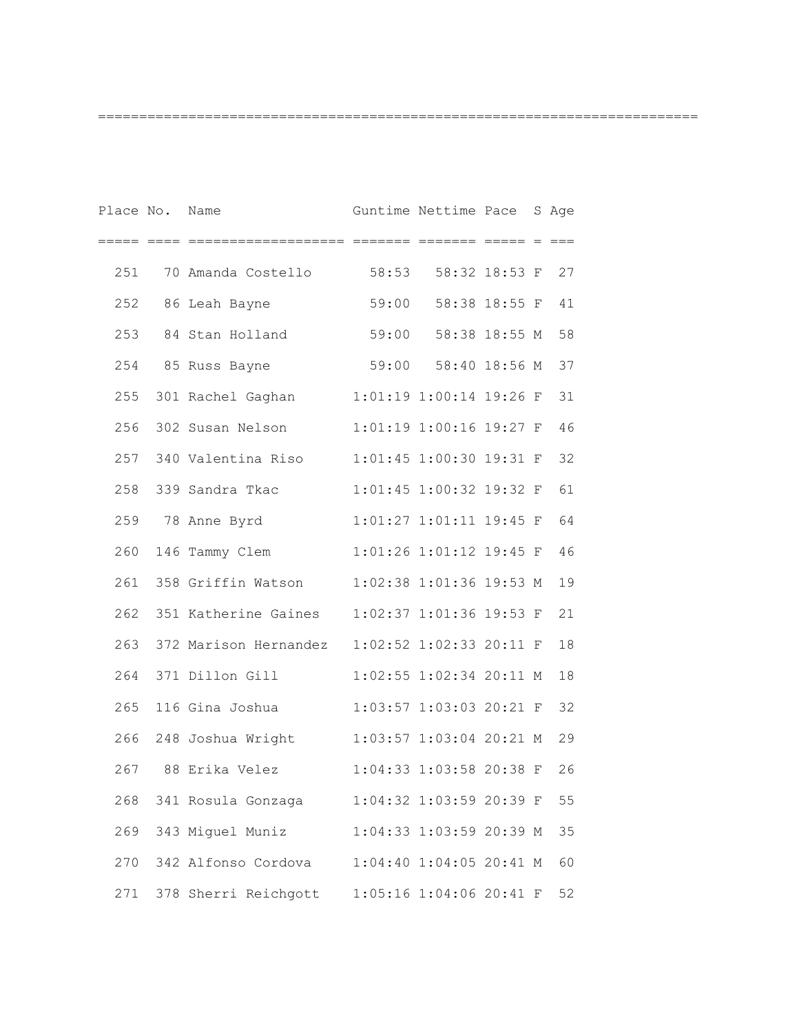| Place No. Name |                                           | Guntime Nettime Pace          |                  | S Age |
|----------------|-------------------------------------------|-------------------------------|------------------|-------|
|                |                                           |                               | icco cocco c coc |       |
| 251            | 70 Amanda Costello 58:53 58:32 18:53 F 27 |                               |                  |       |
| 252            | 86 Leah Bayne                             | 59:00 58:38 18:55 F           |                  | 41    |
| 253            | 84 Stan Holland                           | 59:00 58:38 18:55 M           |                  | 58    |
| 254            | 85 Russ Bayne                             | 59:00 58:40 18:56 M           |                  | 37    |
| 255            | 301 Rachel Gaghan                         | $1:01:19$ $1:00:14$ $19:26$ F |                  | 31    |
| 256            | 302 Susan Nelson                          | $1:01:19$ $1:00:16$ $19:27$ F |                  | 46    |
|                | 257 340 Valentina Riso                    | $1:01:45$ 1:00:30 19:31 F     |                  | 32    |
| 258            | 339 Sandra Tkac                           | 1:01:45 1:00:32 19:32 F       |                  | 61    |
| 259            | 78 Anne Byrd                              | $1:01:27$ $1:01:11$ $19:45$ F |                  | 64    |
| 260            | 146 Tammy Clem                            | 1:01:26 1:01:12 19:45 F       |                  | 46    |
|                | 261 358 Griffin Watson                    | $1:02:38$ 1:01:36 19:53 M     |                  | 19    |
|                | 262 351 Katherine Gaines                  | $1:02:37$ 1:01:36 19:53 F     |                  | 21    |
| 263            | 372 Marison Hernandez                     | $1:02:52$ $1:02:33$ $20:11$ F |                  | 18    |
|                | 264 371 Dillon Gill                       | $1:02:55$ $1:02:34$ $20:11$ M |                  | 18    |
|                | 265 116 Gina Joshua                       | $1:03:57$ $1:03:03$ $20:21$ F |                  | 32    |
|                | 266 248 Joshua Wright                     | 1:03:57 1:03:04 20:21 M       |                  | 29    |
| 267            | 88 Erika Velez                            | 1:04:33 1:03:58 20:38 F       |                  | 26    |
| 268            | 341 Rosula Gonzaga                        | 1:04:32 1:03:59 20:39 F       |                  | 55    |
| 269            | 343 Miguel Muniz                          | 1:04:33 1:03:59 20:39 M       |                  | 35    |
| 270            | 342 Alfonso Cordova                       | 1:04:40 1:04:05 20:41 M       |                  | 60    |
| 271            | 378 Sherri Reichgott                      | 1:05:16 1:04:06 20:41 F       |                  | 52    |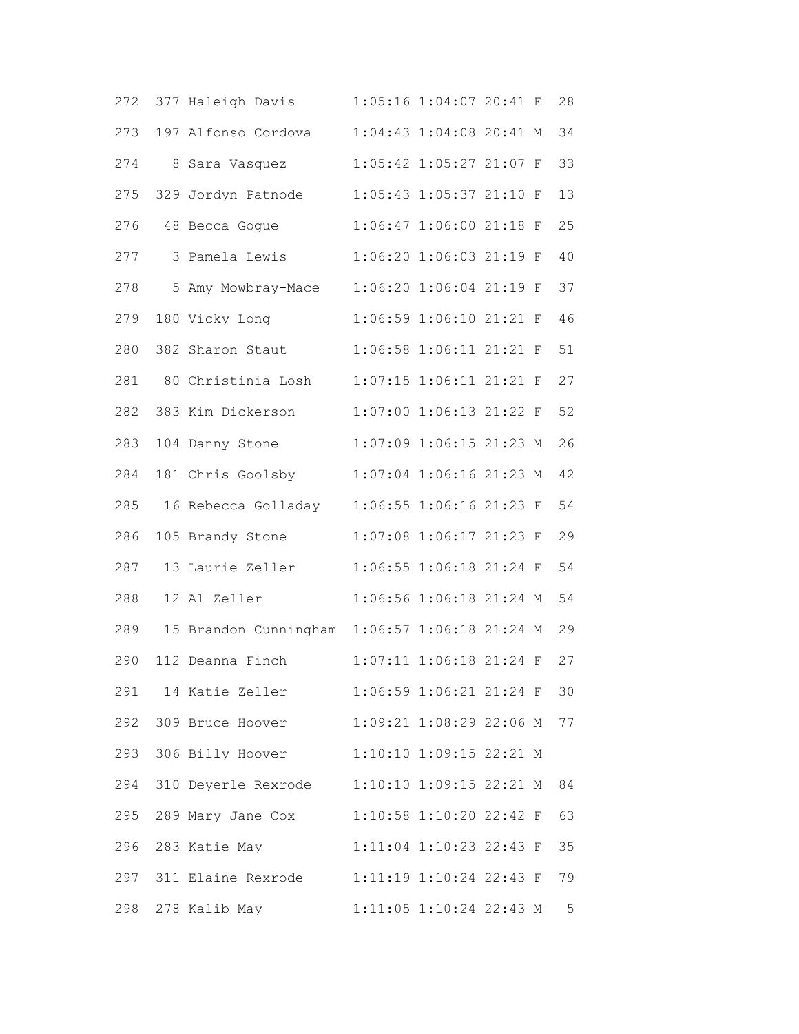| 272 | 377 Haleigh Davis                             |                         | 1:05:16 1:04:07 20:41 F   |  | 28 |
|-----|-----------------------------------------------|-------------------------|---------------------------|--|----|
| 273 | 197 Alfonso Cordova                           |                         | 1:04:43 1:04:08 20:41 M   |  | 34 |
| 274 | 8 Sara Vasquez                                |                         | 1:05:42 1:05:27 21:07 F   |  | 33 |
| 275 | 329 Jordyn Patnode                            |                         | 1:05:43 1:05:37 21:10 F   |  | 13 |
| 276 | 48 Becca Gogue                                |                         | 1:06:47 1:06:00 21:18 F   |  | 25 |
| 277 | 3 Pamela Lewis                                |                         | 1:06:20 1:06:03 21:19 F   |  | 40 |
| 278 | 5 Amy Mowbray-Mace                            |                         | 1:06:20 1:06:04 21:19 F   |  | 37 |
| 279 | 180 Vicky Long                                |                         | 1:06:59 1:06:10 21:21 F   |  | 46 |
| 280 | 382 Sharon Staut                              |                         | 1:06:58 1:06:11 21:21 F   |  | 51 |
| 281 | 80 Christinia Losh                            |                         | 1:07:15 1:06:11 21:21 F   |  | 27 |
| 282 | 383 Kim Dickerson                             |                         | 1:07:00 1:06:13 21:22 F   |  | 52 |
| 283 | 104 Danny Stone                               |                         | 1:07:09 1:06:15 21:23 M   |  | 26 |
| 284 | 181 Chris Goolsby                             |                         | 1:07:04 1:06:16 21:23 M   |  | 42 |
| 285 | 16 Rebecca Golladay                           | 1:06:55 1:06:16 21:23 F |                           |  | 54 |
| 286 | 105 Brandy Stone                              |                         | 1:07:08 1:06:17 21:23 F   |  | 29 |
| 287 | 13 Laurie Zeller                              |                         | 1:06:55 1:06:18 21:24 F   |  | 54 |
| 288 | 12 Al Zeller                                  |                         | 1:06:56 1:06:18 21:24 M   |  | 54 |
| 289 | 15 Brandon Cunningham 1:06:57 1:06:18 21:24 M |                         |                           |  | 29 |
| 290 | 112 Deanna Finch                              |                         | 1:07:11 1:06:18 21:24 F   |  | 27 |
| 291 | 14 Katie Zeller                               |                         | $1:06:59$ 1:06:21 21:24 F |  | 30 |
|     | 292 309 Bruce Hoover                          |                         | 1:09:21 1:08:29 22:06 M   |  | 77 |
| 293 | 306 Billy Hoover                              |                         | 1:10:10 1:09:15 22:21 M   |  |    |
| 294 | 310 Deyerle Rexrode                           | 1:10:10 1:09:15 22:21 M |                           |  | 84 |
| 295 | 289 Mary Jane Cox                             |                         | 1:10:58 1:10:20 22:42 F   |  | 63 |
| 296 | 283 Katie May                                 |                         | 1:11:04 1:10:23 22:43 F   |  | 35 |
| 297 | 311 Elaine Rexrode                            | 1:11:19 1:10:24 22:43 F |                           |  | 79 |
| 298 | 278 Kalib May                                 |                         | 1:11:05 1:10:24 22:43 M   |  | 5  |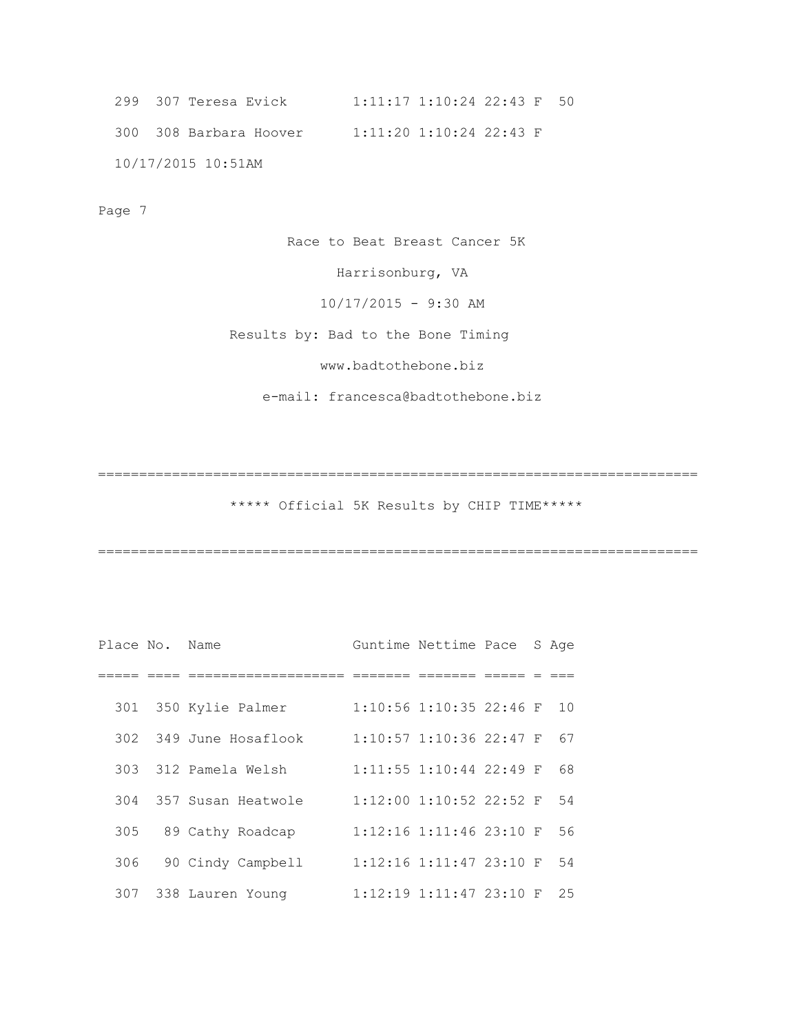```
 299 307 Teresa Evick 1:11:17 1:10:24 22:43 F 50 
300 308 Barbara Hoover 1:11:20 1:10:24 22:43 F 
10/17/2015 10:51AM
```
Page 7

Race to Beat Breast Cancer 5K

Harrisonburg, VA

 $10/17/2015 - 9:30$  AM

Results by: Bad to the Bone Timing

www.badtothebone.biz

e-mail: francesca@badtothebone.biz

\*\*\*\*\* Official 5K Results by CHIP TIME\*\*\*\*\*

=========================================================================

| Place No. Name |                        | Guntime Nettime Pace               |  | S Age |
|----------------|------------------------|------------------------------------|--|-------|
|                |                        |                                    |  |       |
|                | 301 350 Kylie Palmer   | $1:10:56$ 1:10:35 22:46 F          |  | 1 O   |
|                | 302 349 June Hosaflook | $1:10:57$ 1:10:36 22:47 F          |  | 67    |
| 303            | 312 Pamela Welsh       | $1:11:55$ $1:10:44$ 22:49 F        |  | 68    |
|                | 304 357 Susan Heatwole | $1:12:00$ 1:10:52 22:52 F          |  | 54    |
| 305            | 89 Cathy Roadcap       | $1:12:16$ 1:11:46 23:10 F          |  | 56    |
| 306            | 90 Cindy Campbell      | $1:12:16$ 1:11:47 23:10 F          |  | 54    |
| 307            | 338 Lauren Young       | $1:12:19$ $1:11:47$ $23:10$ F $25$ |  |       |